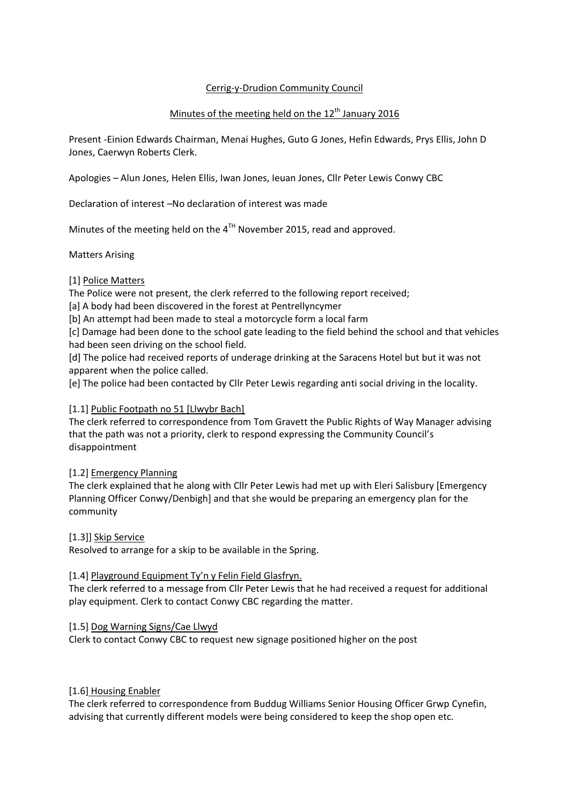# Cerrig-y-Drudion Community Council

# Minutes of the meeting held on the  $12<sup>th</sup>$  January 2016

Present -Einion Edwards Chairman, Menai Hughes, Guto G Jones, Hefin Edwards, Prys Ellis, John D Jones, Caerwyn Roberts Clerk.

Apologies – Alun Jones, Helen Ellis, Iwan Jones, Ieuan Jones, Cllr Peter Lewis Conwy CBC

Declaration of interest –No declaration of interest was made

Minutes of the meeting held on the  $4<sup>TH</sup>$  November 2015, read and approved.

Matters Arising

### [1] Police Matters

The Police were not present, the clerk referred to the following report received;

[a] A body had been discovered in the forest at Pentrellyncymer

[b] An attempt had been made to steal a motorcycle form a local farm

[c] Damage had been done to the school gate leading to the field behind the school and that vehicles had been seen driving on the school field.

[d] The police had received reports of underage drinking at the Saracens Hotel but but it was not apparent when the police called.

[e] The police had been contacted by Cllr Peter Lewis regarding anti social driving in the locality.

#### [1.1] Public Footpath no 51 [Llwybr Bach]

The clerk referred to correspondence from Tom Gravett the Public Rights of Way Manager advising that the path was not a priority, clerk to respond expressing the Community Council's disappointment

#### [1.2] Emergency Planning

The clerk explained that he along with Cllr Peter Lewis had met up with Eleri Salisbury [Emergency Planning Officer Conwy/Denbigh] and that she would be preparing an emergency plan for the community

#### [1.3]] Skip Service

Resolved to arrange for a skip to be available in the Spring.

#### [1.4] Playground Equipment Ty'n y Felin Field Glasfryn.

The clerk referred to a message from Cllr Peter Lewis that he had received a request for additional play equipment. Clerk to contact Conwy CBC regarding the matter.

#### [1.5] Dog Warning Signs/Cae Llwyd

Clerk to contact Conwy CBC to request new signage positioned higher on the post

#### [1.6] Housing Enabler

The clerk referred to correspondence from Buddug Williams Senior Housing Officer Grwp Cynefin, advising that currently different models were being considered to keep the shop open etc.